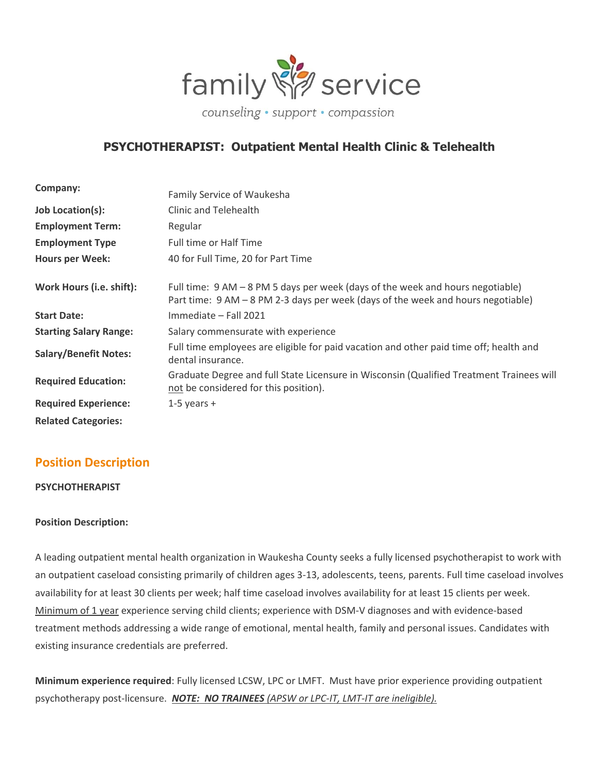

# **PSYCHOTHERAPIST: Outpatient Mental Health Clinic & Telehealth**

| Company:                      | Family Service of Waukesha                                                                                                                                         |
|-------------------------------|--------------------------------------------------------------------------------------------------------------------------------------------------------------------|
| Job Location(s):              | Clinic and Telehealth                                                                                                                                              |
| <b>Employment Term:</b>       | Regular                                                                                                                                                            |
| <b>Employment Type</b>        | <b>Full time or Half Time</b>                                                                                                                                      |
| <b>Hours per Week:</b>        | 40 for Full Time, 20 for Part Time                                                                                                                                 |
| Work Hours (i.e. shift):      | Full time: 9 AM - 8 PM 5 days per week (days of the week and hours negotiable)<br>Part time: 9 AM - 8 PM 2-3 days per week (days of the week and hours negotiable) |
| <b>Start Date:</b>            | Immediate - Fall 2021                                                                                                                                              |
| <b>Starting Salary Range:</b> | Salary commensurate with experience                                                                                                                                |
| <b>Salary/Benefit Notes:</b>  | Full time employees are eligible for paid vacation and other paid time off; health and<br>dental insurance.                                                        |
| <b>Required Education:</b>    | Graduate Degree and full State Licensure in Wisconsin (Qualified Treatment Trainees will<br>not be considered for this position).                                  |
| <b>Required Experience:</b>   | 1-5 years $+$                                                                                                                                                      |
| <b>Related Categories:</b>    |                                                                                                                                                                    |

## **Position Description**

**PSYCHOTHERAPIST**

### **Position Description:**

A leading outpatient mental health organization in Waukesha County seeks a fully licensed psychotherapist to work with an outpatient caseload consisting primarily of children ages 3-13, adolescents, teens, parents. Full time caseload involves availability for at least 30 clients per week; half time caseload involves availability for at least 15 clients per week. Minimum of 1 year experience serving child clients; experience with DSM-V diagnoses and with evidence-based treatment methods addressing a wide range of emotional, mental health, family and personal issues. Candidates with existing insurance credentials are preferred.

**Minimum experience required**: Fully licensed LCSW, LPC or LMFT. Must have prior experience providing outpatient psychotherapy post-licensure. *NOTE: NO TRAINEES (APSW or LPC-IT, LMT-IT are ineligible).*